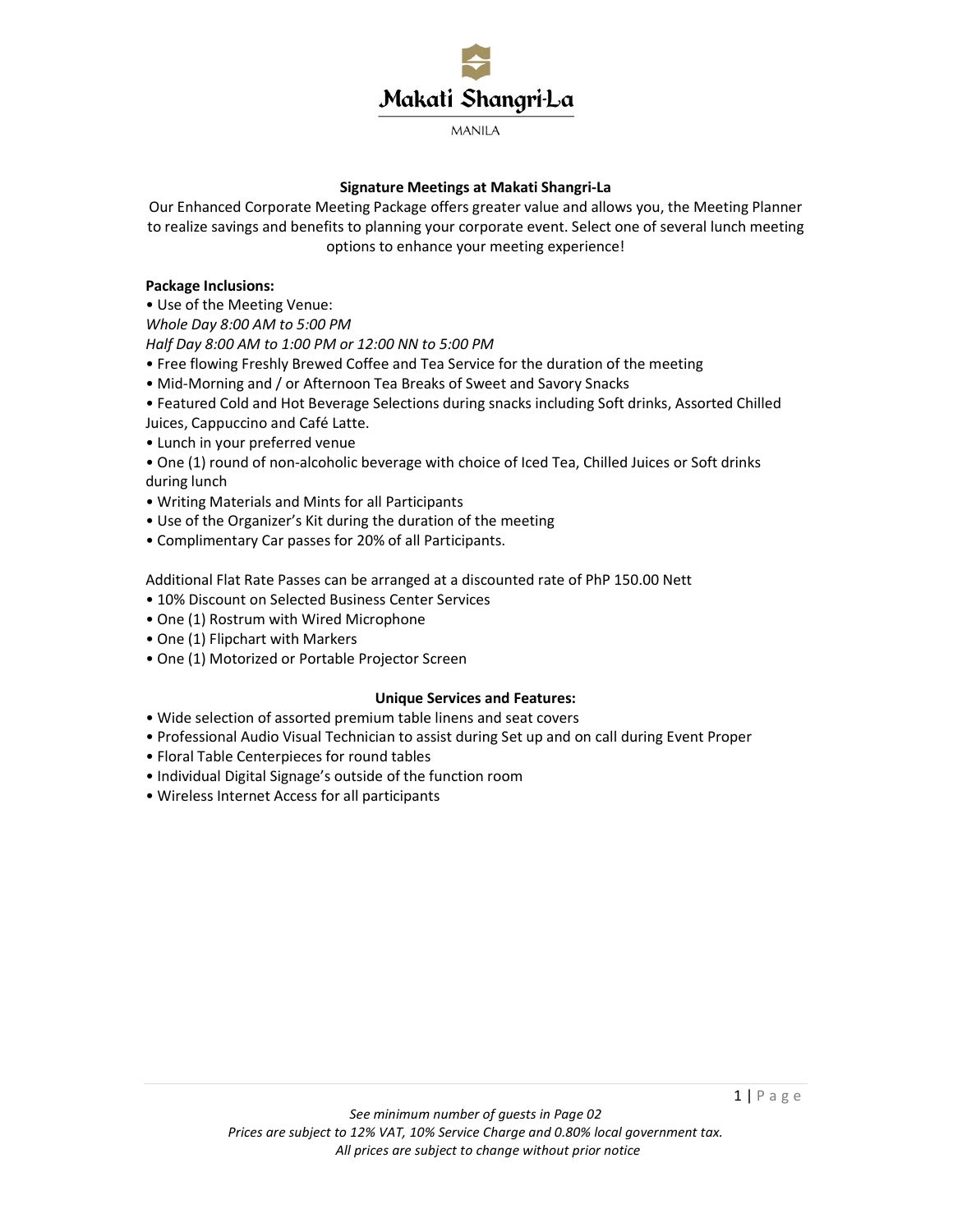

# **Signature Meetings at Makati Shangri-La**

Our Enhanced Corporate Meeting Package offers greater value and allows you, the Meeting Planner to realize savings and benefits to planning your corporate event. Select one of several lunch meeting options to enhance your meeting experience!

# **Package Inclusions:**

• Use of the Meeting Venue:

*Whole Day 8:00 AM to 5:00 PM* 

*Half Day 8:00 AM to 1:00 PM or 12:00 NN to 5:00 PM* 

- Free flowing Freshly Brewed Coffee and Tea Service for the duration of the meeting
- Mid-Morning and / or Afternoon Tea Breaks of Sweet and Savory Snacks
- Featured Cold and Hot Beverage Selections during snacks including Soft drinks, Assorted Chilled Juices, Cappuccino and Café Latte.
- Lunch in your preferred venue
- One (1) round of non-alcoholic beverage with choice of Iced Tea, Chilled Juices or Soft drinks during lunch
- Writing Materials and Mints for all Participants
- Use of the Organizer's Kit during the duration of the meeting
- Complimentary Car passes for 20% of all Participants.

Additional Flat Rate Passes can be arranged at a discounted rate of PhP 150.00 Nett

- 10% Discount on Selected Business Center Services
- One (1) Rostrum with Wired Microphone
- One (1) Flipchart with Markers
- One (1) Motorized or Portable Projector Screen

# **Unique Services and Features:**

- Wide selection of assorted premium table linens and seat covers
- Professional Audio Visual Technician to assist during Set up and on call during Event Proper
- Floral Table Centerpieces for round tables
- Individual Digital Signage's outside of the function room
- Wireless Internet Access for all participants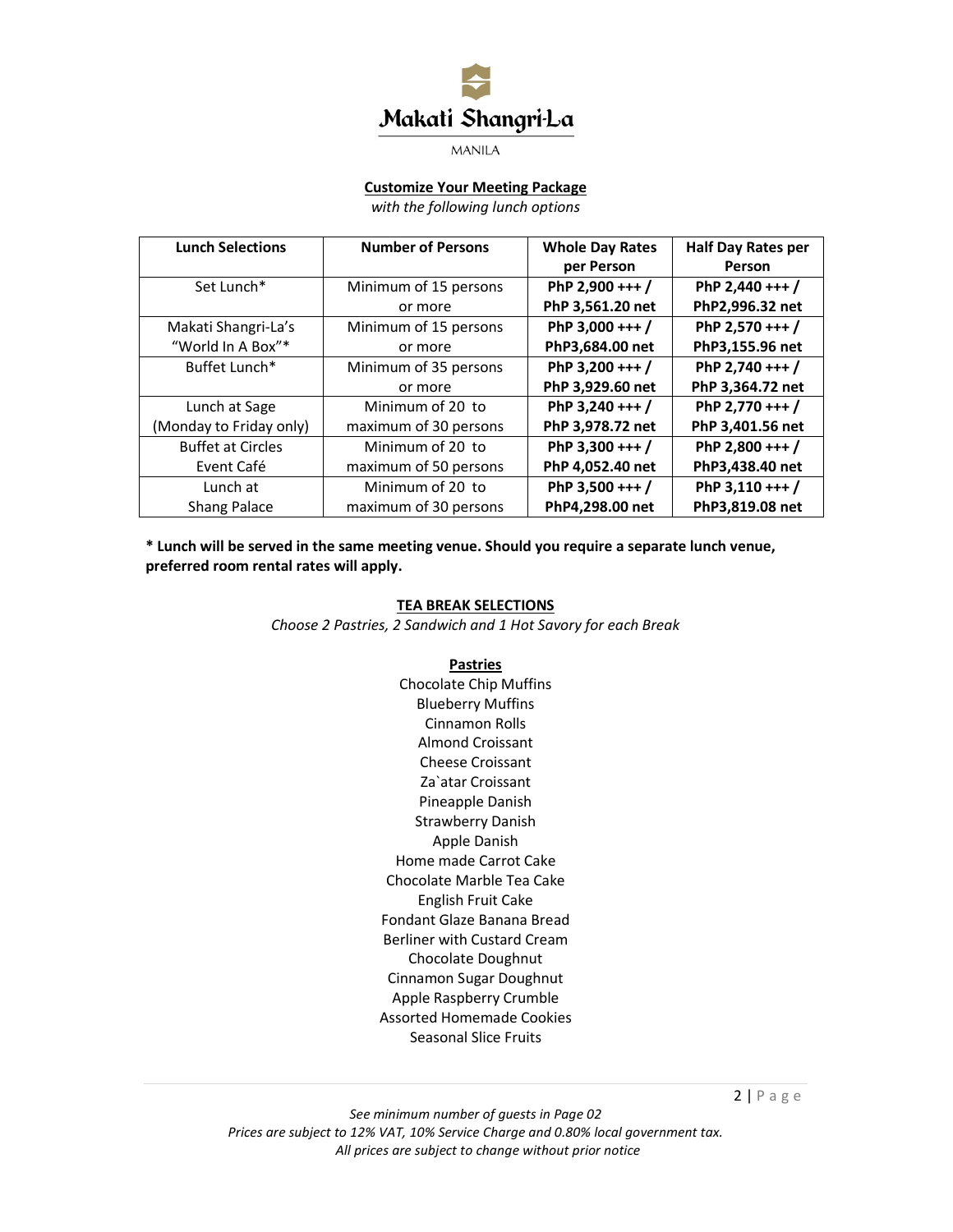

# **Customize Your Meeting Package**

*with the following lunch options* 

| <b>Lunch Selections</b>  | <b>Number of Persons</b> | <b>Whole Day Rates</b> | <b>Half Day Rates per</b> |
|--------------------------|--------------------------|------------------------|---------------------------|
|                          |                          | per Person             | Person                    |
| Set Lunch*               | Minimum of 15 persons    | PhP 2,900 +++ /        | PhP 2,440 +++ /           |
|                          | or more                  | PhP 3,561.20 net       | PhP2,996.32 net           |
| Makati Shangri-La's      | Minimum of 15 persons    | PhP 3,000 +++ /        | PhP 2,570 +++ /           |
| "World In A Box"*        | or more                  | PhP3,684.00 net        | PhP3,155.96 net           |
| Buffet Lunch*            | Minimum of 35 persons    | PhP 3,200 +++ /        | PhP 2,740 +++ /           |
|                          | or more                  | PhP 3,929.60 net       | PhP 3,364.72 net          |
| Lunch at Sage            | Minimum of 20 to         | PhP 3,240 +++ /        | PhP 2,770 +++ /           |
| (Monday to Friday only)  | maximum of 30 persons    | PhP 3,978.72 net       | PhP 3,401.56 net          |
| <b>Buffet at Circles</b> | Minimum of 20 to         | PhP 3,300 +++ /        | PhP 2,800 +++ /           |
| Event Café               | maximum of 50 persons    | PhP 4,052.40 net       | PhP3,438.40 net           |
| Lunch at                 | Minimum of 20 to         | PhP 3,500 +++ /        | PhP 3,110 +++ /           |
| Shang Palace             | maximum of 30 persons    | PhP4,298.00 net        | PhP3,819.08 net           |

**\* Lunch will be served in the same meeting venue. Should you require a separate lunch venue, preferred room rental rates will apply.** 

#### **TEA BREAK SELECTIONS**

*Choose 2 Pastries, 2 Sandwich and 1 Hot Savory for each Break* 

#### **Pastries**

Chocolate Chip Muffins Blueberry Muffins Cinnamon Rolls Almond Croissant Cheese Croissant Za`atar Croissant Pineapple Danish Strawberry Danish Apple Danish Home made Carrot Cake Chocolate Marble Tea Cake English Fruit Cake Fondant Glaze Banana Bread Berliner with Custard Cream Chocolate Doughnut Cinnamon Sugar Doughnut Apple Raspberry Crumble Assorted Homemade Cookies Seasonal Slice Fruits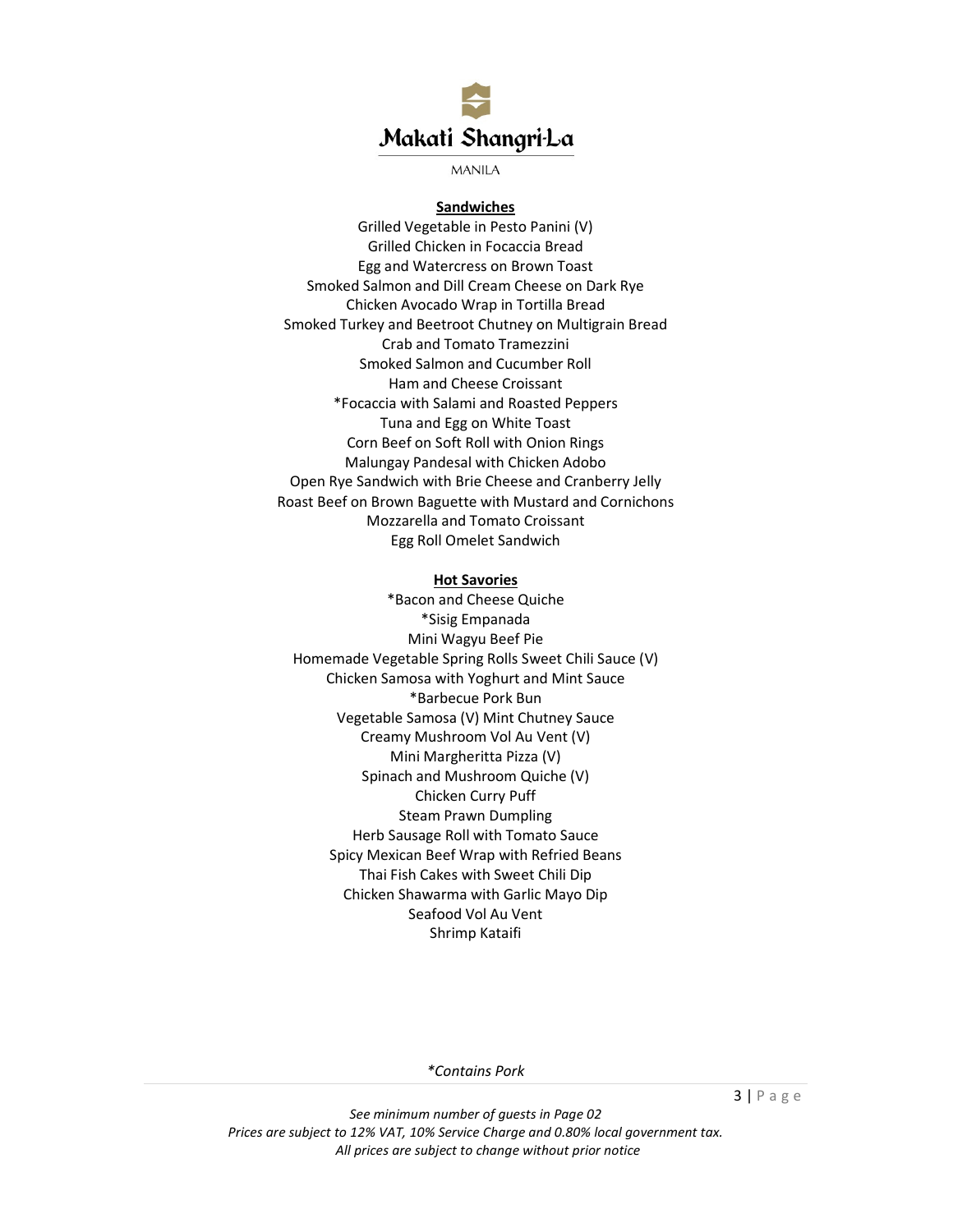

#### **Sandwiches**

Grilled Vegetable in Pesto Panini (V) Grilled Chicken in Focaccia Bread Egg and Watercress on Brown Toast Smoked Salmon and Dill Cream Cheese on Dark Rye Chicken Avocado Wrap in Tortilla Bread Smoked Turkey and Beetroot Chutney on Multigrain Bread Crab and Tomato Tramezzini Smoked Salmon and Cucumber Roll Ham and Cheese Croissant \*Focaccia with Salami and Roasted Peppers Tuna and Egg on White Toast Corn Beef on Soft Roll with Onion Rings Malungay Pandesal with Chicken Adobo Open Rye Sandwich with Brie Cheese and Cranberry Jelly Roast Beef on Brown Baguette with Mustard and Cornichons Mozzarella and Tomato Croissant Egg Roll Omelet Sandwich

### **Hot Savories**

\*Bacon and Cheese Quiche \*Sisig Empanada Mini Wagyu Beef Pie Homemade Vegetable Spring Rolls Sweet Chili Sauce (V) Chicken Samosa with Yoghurt and Mint Sauce \*Barbecue Pork Bun Vegetable Samosa (V) Mint Chutney Sauce Creamy Mushroom Vol Au Vent (V) Mini Margheritta Pizza (V) Spinach and Mushroom Quiche (V) Chicken Curry Puff Steam Prawn Dumpling Herb Sausage Roll with Tomato Sauce Spicy Mexican Beef Wrap with Refried Beans Thai Fish Cakes with Sweet Chili Dip Chicken Shawarma with Garlic Mayo Dip Seafood Vol Au Vent Shrimp Kataifi

*\*Contains Pork*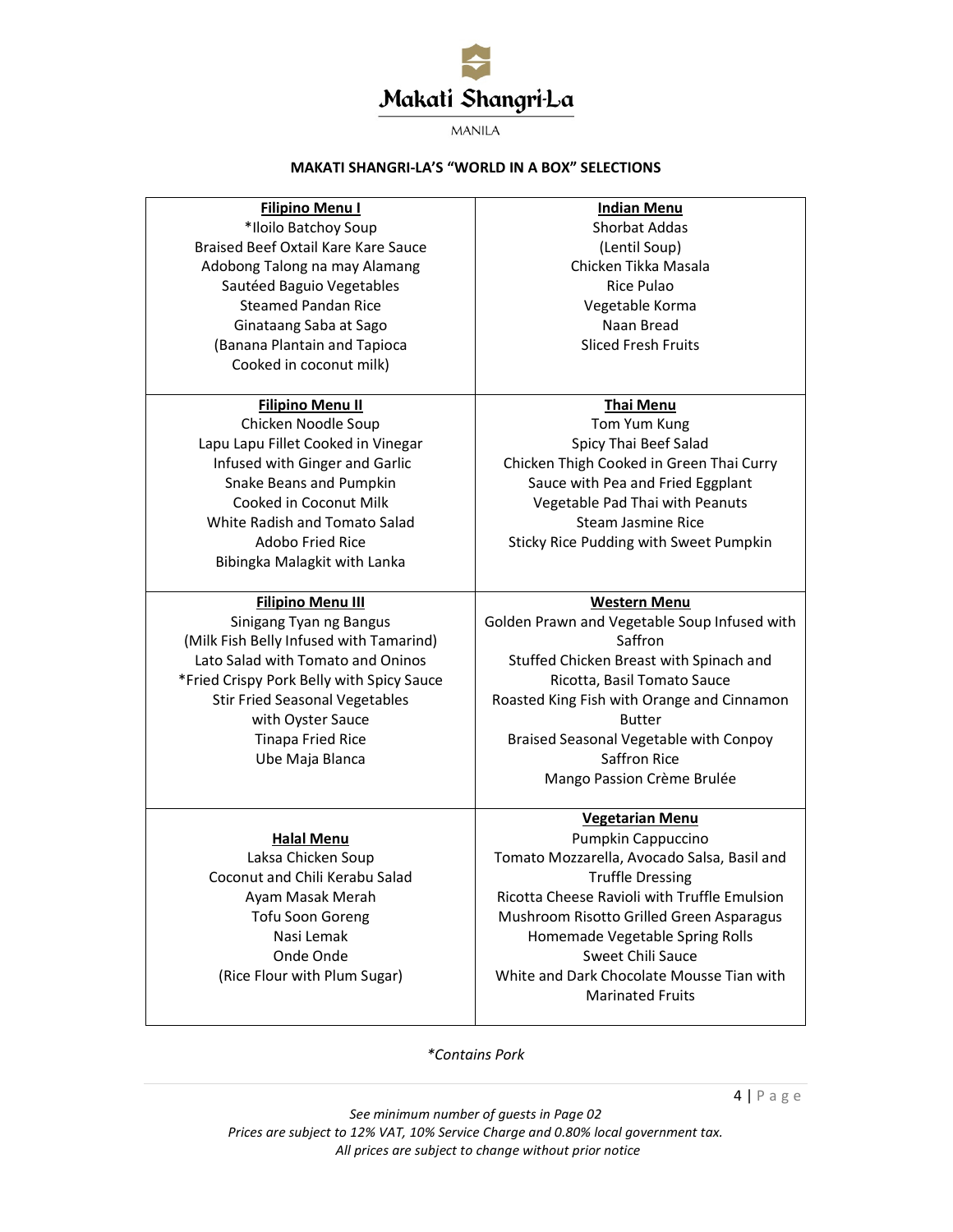

#### **MAKATI SHANGRI-LA'S "WORLD IN A BOX" SELECTIONS**

# **Filipino Menu I** \*Iloilo Batchoy Soup Braised Beef Oxtail Kare Kare Sauce Adobong Talong na may Alamang Sautéed Baguio Vegetables Steamed Pandan Rice Ginataang Saba at Sago (Banana Plantain and Tapioca Cooked in coconut milk)

#### **Filipino Menu II**

Chicken Noodle Soup Lapu Lapu Fillet Cooked in Vinegar Infused with Ginger and Garlic Snake Beans and Pumpkin Cooked in Coconut Milk White Radish and Tomato Salad Adobo Fried Rice Bibingka Malagkit with Lanka

# **Filipino Menu III**

Sinigang Tyan ng Bangus (Milk Fish Belly Infused with Tamarind) Lato Salad with Tomato and Oninos \*Fried Crispy Pork Belly with Spicy Sauce Stir Fried Seasonal Vegetables with Oyster Sauce Tinapa Fried Rice Ube Maja Blanca

> **Halal Menu**  Laksa Chicken Soup Coconut and Chili Kerabu Salad Ayam Masak Merah Tofu Soon Goreng Nasi Lemak Onde Onde (Rice Flour with Plum Sugar)

# **Indian Menu** Shorbat Addas (Lentil Soup) Chicken Tikka Masala Rice Pulao Vegetable Korma Naan Bread Sliced Fresh Fruits

#### **Thai Menu**

Tom Yum Kung Spicy Thai Beef Salad Chicken Thigh Cooked in Green Thai Curry Sauce with Pea and Fried Eggplant Vegetable Pad Thai with Peanuts Steam Jasmine Rice Sticky Rice Pudding with Sweet Pumpkin

#### **Western Menu**

Golden Prawn and Vegetable Soup Infused with Saffron Stuffed Chicken Breast with Spinach and Ricotta, Basil Tomato Sauce Roasted King Fish with Orange and Cinnamon Butter Braised Seasonal Vegetable with Conpoy Saffron Rice Mango Passion Crème Brulée

# **Vegetarian Menu**

Pumpkin Cappuccino Tomato Mozzarella, Avocado Salsa, Basil and Truffle Dressing Ricotta Cheese Ravioli with Truffle Emulsion Mushroom Risotto Grilled Green Asparagus Homemade Vegetable Spring Rolls Sweet Chili Sauce White and Dark Chocolate Mousse Tian with Marinated Fruits

# *\*Contains Pork*

 $4 | P \text{ age}$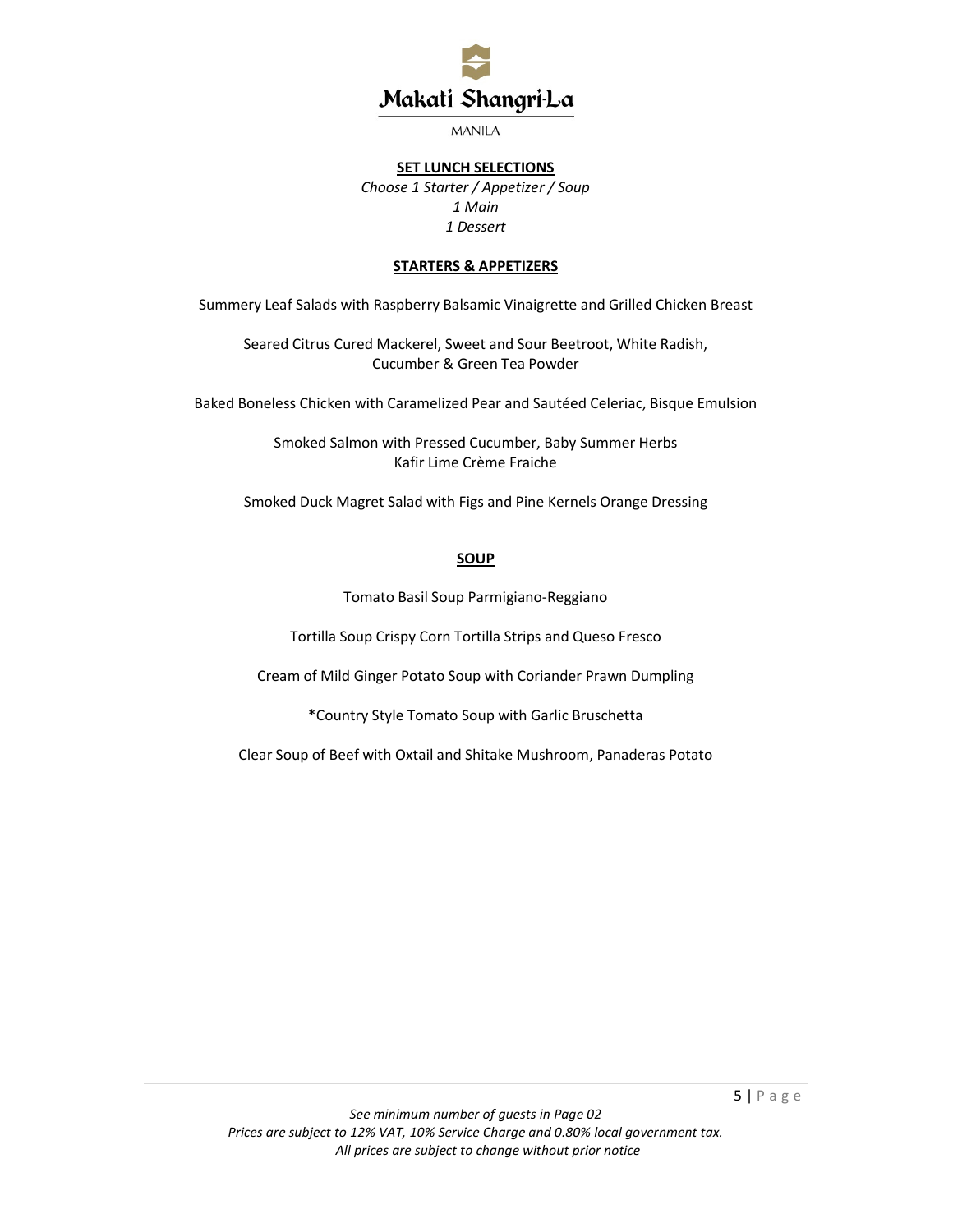

#### **SET LUNCH SELECTIONS**

*Choose 1 Starter / Appetizer / Soup 1 Main 1 Dessert* 

# **STARTERS & APPETIZERS**

Summery Leaf Salads with Raspberry Balsamic Vinaigrette and Grilled Chicken Breast

Seared Citrus Cured Mackerel, Sweet and Sour Beetroot, White Radish, Cucumber & Green Tea Powder

Baked Boneless Chicken with Caramelized Pear and Sautéed Celeriac, Bisque Emulsion

Smoked Salmon with Pressed Cucumber, Baby Summer Herbs Kafir Lime Crème Fraiche

Smoked Duck Magret Salad with Figs and Pine Kernels Orange Dressing

### **SOUP**

Tomato Basil Soup Parmigiano-Reggiano

Tortilla Soup Crispy Corn Tortilla Strips and Queso Fresco

Cream of Mild Ginger Potato Soup with Coriander Prawn Dumpling

\*Country Style Tomato Soup with Garlic Bruschetta

Clear Soup of Beef with Oxtail and Shitake Mushroom, Panaderas Potato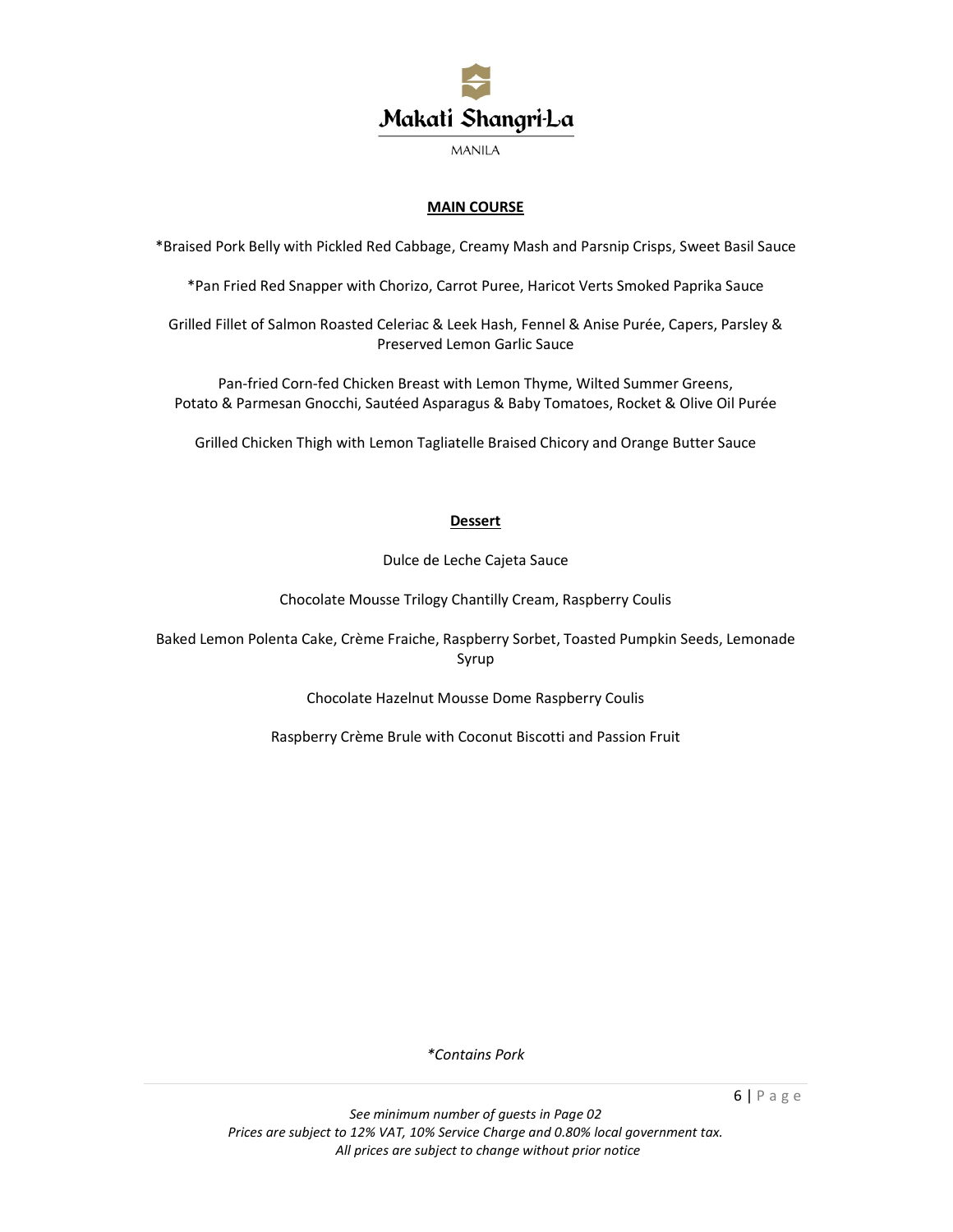

# **MAIN COURSE**

\*Braised Pork Belly with Pickled Red Cabbage, Creamy Mash and Parsnip Crisps, Sweet Basil Sauce

\*Pan Fried Red Snapper with Chorizo, Carrot Puree, Haricot Verts Smoked Paprika Sauce

Grilled Fillet of Salmon Roasted Celeriac & Leek Hash, Fennel & Anise Purée, Capers, Parsley & Preserved Lemon Garlic Sauce

Pan-fried Corn-fed Chicken Breast with Lemon Thyme, Wilted Summer Greens, Potato & Parmesan Gnocchi, Sautéed Asparagus & Baby Tomatoes, Rocket & Olive Oil Purée

Grilled Chicken Thigh with Lemon Tagliatelle Braised Chicory and Orange Butter Sauce

# **Dessert**

Dulce de Leche Cajeta Sauce

Chocolate Mousse Trilogy Chantilly Cream, Raspberry Coulis

Baked Lemon Polenta Cake, Crème Fraiche, Raspberry Sorbet, Toasted Pumpkin Seeds, Lemonade Syrup

Chocolate Hazelnut Mousse Dome Raspberry Coulis

Raspberry Crème Brule with Coconut Biscotti and Passion Fruit

*\*Contains Pork*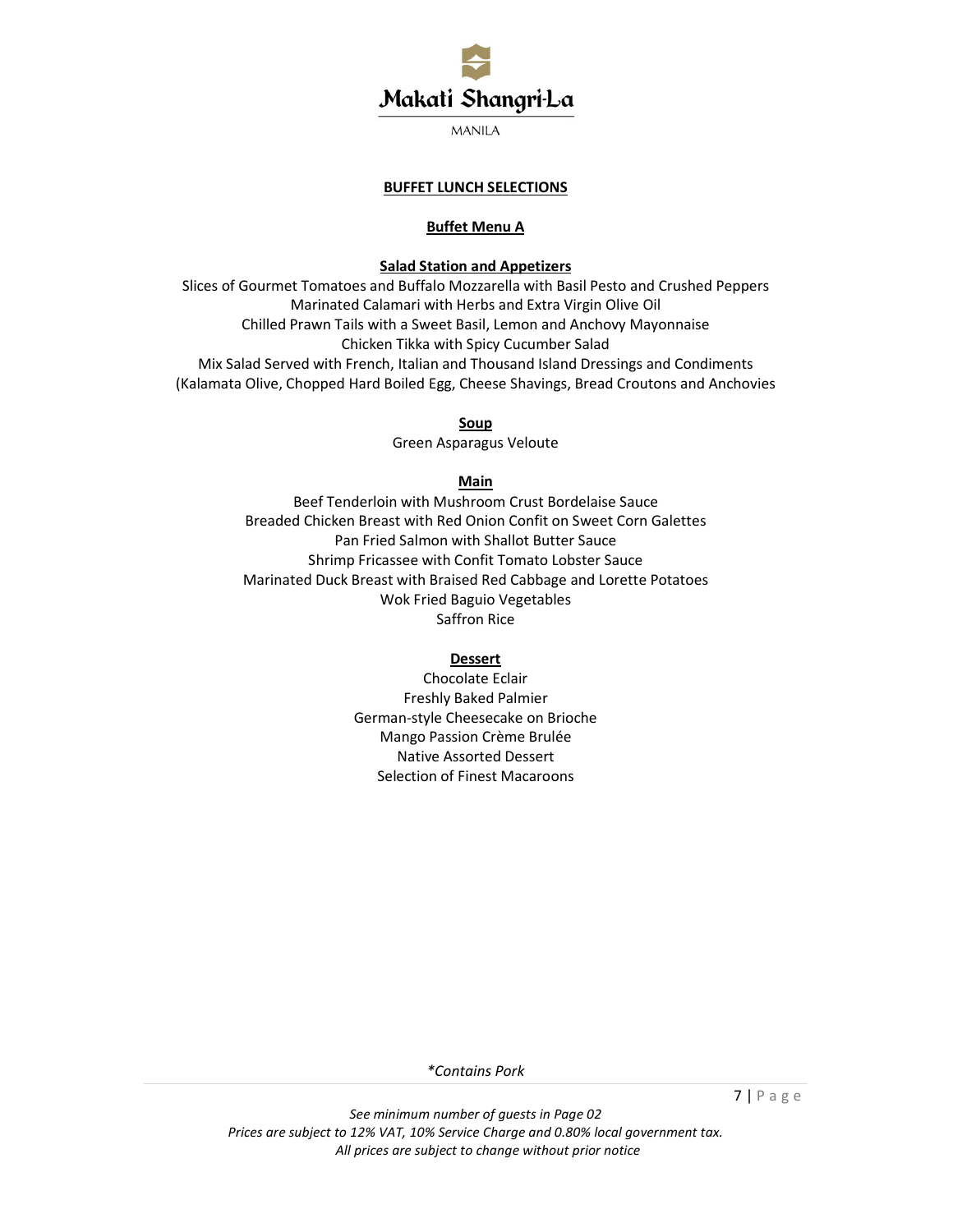

# **BUFFET LUNCH SELECTIONS**

# **Buffet Menu A**

### **Salad Station and Appetizers**

Slices of Gourmet Tomatoes and Buffalo Mozzarella with Basil Pesto and Crushed Peppers Marinated Calamari with Herbs and Extra Virgin Olive Oil Chilled Prawn Tails with a Sweet Basil, Lemon and Anchovy Mayonnaise Chicken Tikka with Spicy Cucumber Salad Mix Salad Served with French, Italian and Thousand Island Dressings and Condiments (Kalamata Olive, Chopped Hard Boiled Egg, Cheese Shavings, Bread Croutons and Anchovies

**Soup** 

Green Asparagus Veloute

#### **Main**

Beef Tenderloin with Mushroom Crust Bordelaise Sauce Breaded Chicken Breast with Red Onion Confit on Sweet Corn Galettes Pan Fried Salmon with Shallot Butter Sauce Shrimp Fricassee with Confit Tomato Lobster Sauce Marinated Duck Breast with Braised Red Cabbage and Lorette Potatoes Wok Fried Baguio Vegetables Saffron Rice

# **Dessert**

Chocolate Eclair Freshly Baked Palmier German-style Cheesecake on Brioche Mango Passion Crème Brulée Native Assorted Dessert Selection of Finest Macaroons

*\*Contains Pork*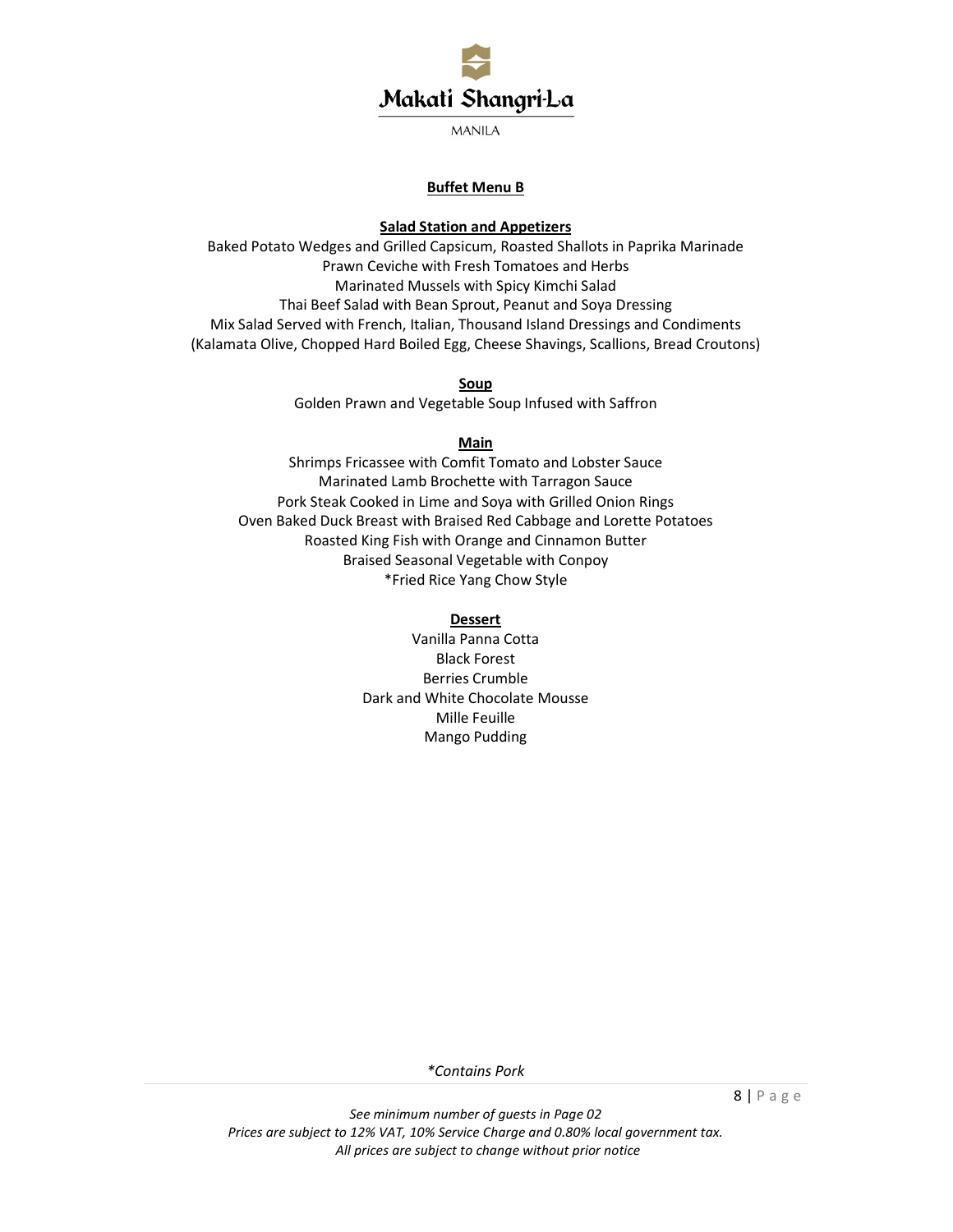

# **Buffet Menu B**

# **Salad Station and Appetizers**

Baked Potato Wedges and Grilled Capsicum, Roasted Shallots in Paprika Marinade Prawn Ceviche with Fresh Tomatoes and Herbs Marinated Mussels with Spicy Kimchi Salad Thai Beef Salad with Bean Sprout, Peanut and Soya Dressing Mix Salad Served with French, Italian, Thousand Island Dressings and Condiments (Kalamata Olive, Chopped Hard Boiled Egg, Cheese Shavings, Scallions, Bread Croutons)

#### **Soup**

Golden Prawn and Vegetable Soup Infused with Saffron

#### **Main**

Shrimps Fricassee with Comfit Tomato and Lobster Sauce Marinated Lamb Brochette with Tarragon Sauce Pork Steak Cooked in Lime and Soya with Grilled Onion Rings Oven Baked Duck Breast with Braised Red Cabbage and Lorette Potatoes Roasted King Fish with Orange and Cinnamon Butter Braised Seasonal Vegetable with Conpoy \*Fried Rice Yang Chow Style

#### **Dessert**

Vanilla Panna Cotta Black Forest Berries Crumble Dark and White Chocolate Mousse Mille Feuille Mango Pudding

*\*Contains Pork*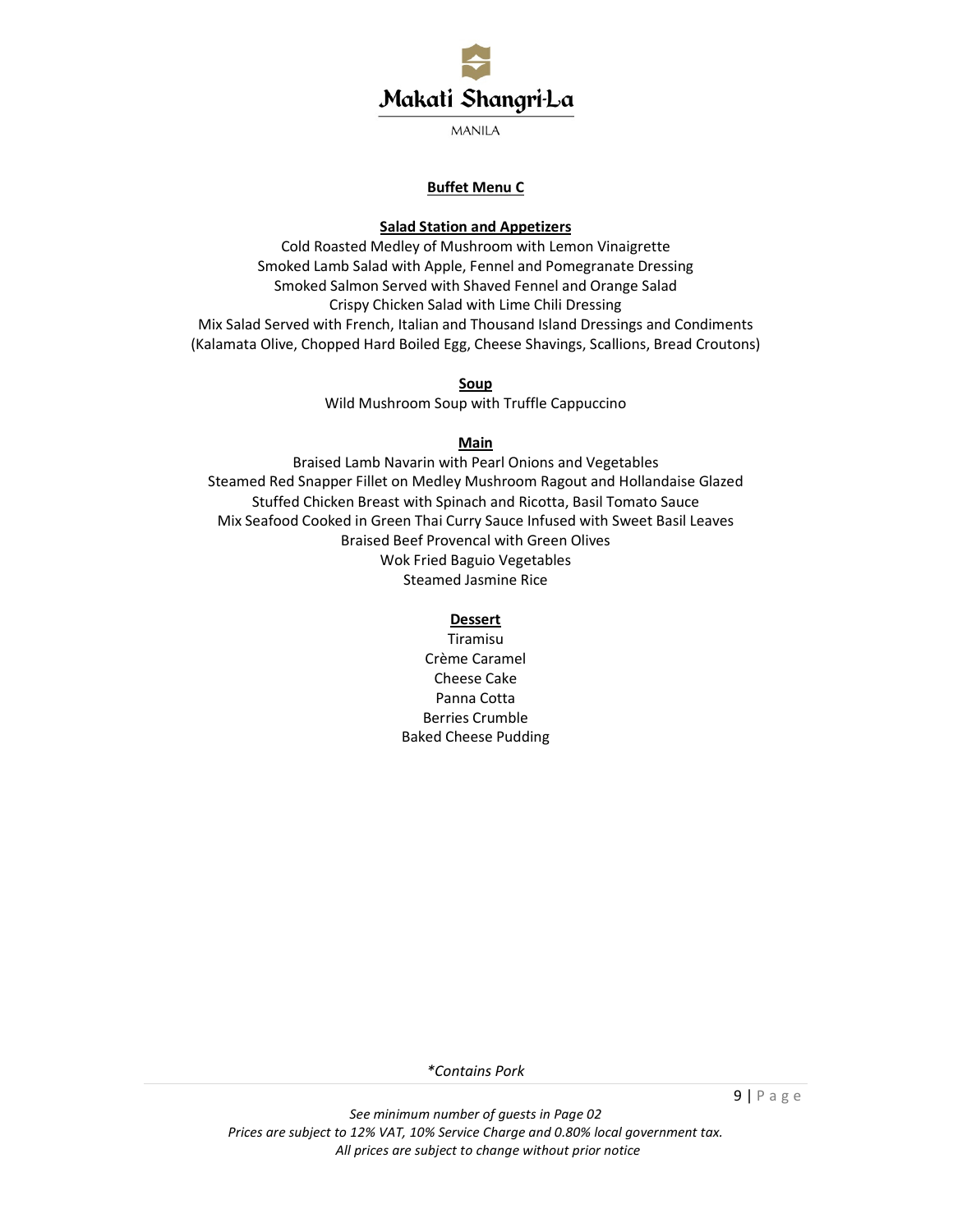

# **Buffet Menu C**

### **Salad Station and Appetizers**

Cold Roasted Medley of Mushroom with Lemon Vinaigrette Smoked Lamb Salad with Apple, Fennel and Pomegranate Dressing Smoked Salmon Served with Shaved Fennel and Orange Salad Crispy Chicken Salad with Lime Chili Dressing Mix Salad Served with French, Italian and Thousand Island Dressings and Condiments (Kalamata Olive, Chopped Hard Boiled Egg, Cheese Shavings, Scallions, Bread Croutons)

### **Soup**

Wild Mushroom Soup with Truffle Cappuccino

# **Main**

Braised Lamb Navarin with Pearl Onions and Vegetables Steamed Red Snapper Fillet on Medley Mushroom Ragout and Hollandaise Glazed Stuffed Chicken Breast with Spinach and Ricotta, Basil Tomato Sauce Mix Seafood Cooked in Green Thai Curry Sauce Infused with Sweet Basil Leaves Braised Beef Provencal with Green Olives Wok Fried Baguio Vegetables Steamed Jasmine Rice

# **Dessert**

Tiramisu Crème Caramel Cheese Cake Panna Cotta Berries Crumble Baked Cheese Pudding

*\*Contains Pork*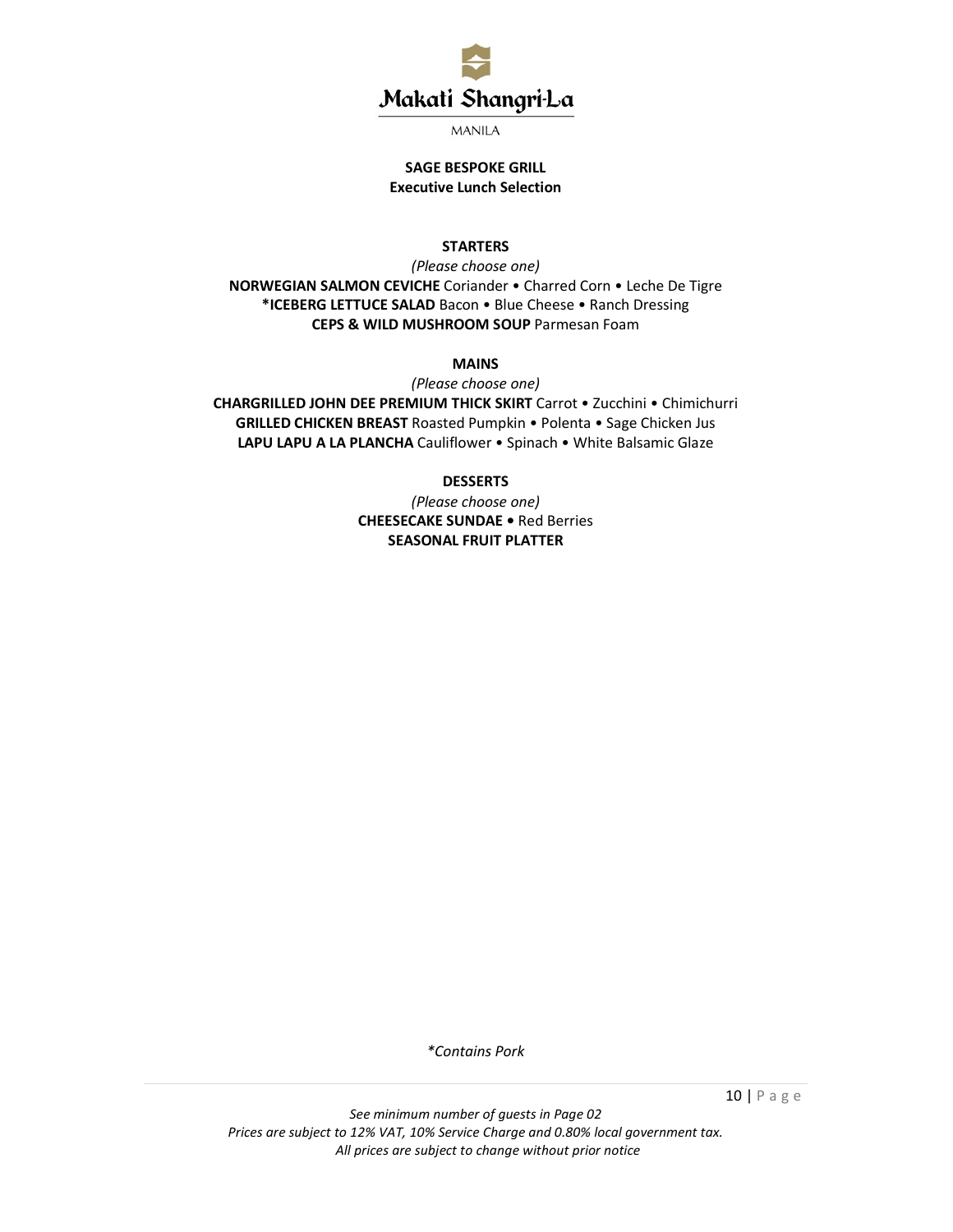

# **SAGE BESPOKE GRILL Executive Lunch Selection**

### **STARTERS**

*(Please choose one)*  **NORWEGIAN SALMON CEVICHE** Coriander • Charred Corn • Leche De Tigre **\*ICEBERG LETTUCE SALAD** Bacon • Blue Cheese • Ranch Dressing **CEPS & WILD MUSHROOM SOUP** Parmesan Foam

# **MAINS**

*(Please choose one)*  **CHARGRILLED JOHN DEE PREMIUM THICK SKIRT** Carrot • Zucchini • Chimichurri **GRILLED CHICKEN BREAST** Roasted Pumpkin • Polenta • Sage Chicken Jus LAPU LAPU A LA PLANCHA Cauliflower • Spinach • White Balsamic Glaze

### **DESSERTS**

*(Please choose one)*  **CHEESECAKE SUNDAE •** Red Berries **SEASONAL FRUIT PLATTER** 

*\*Contains Pork*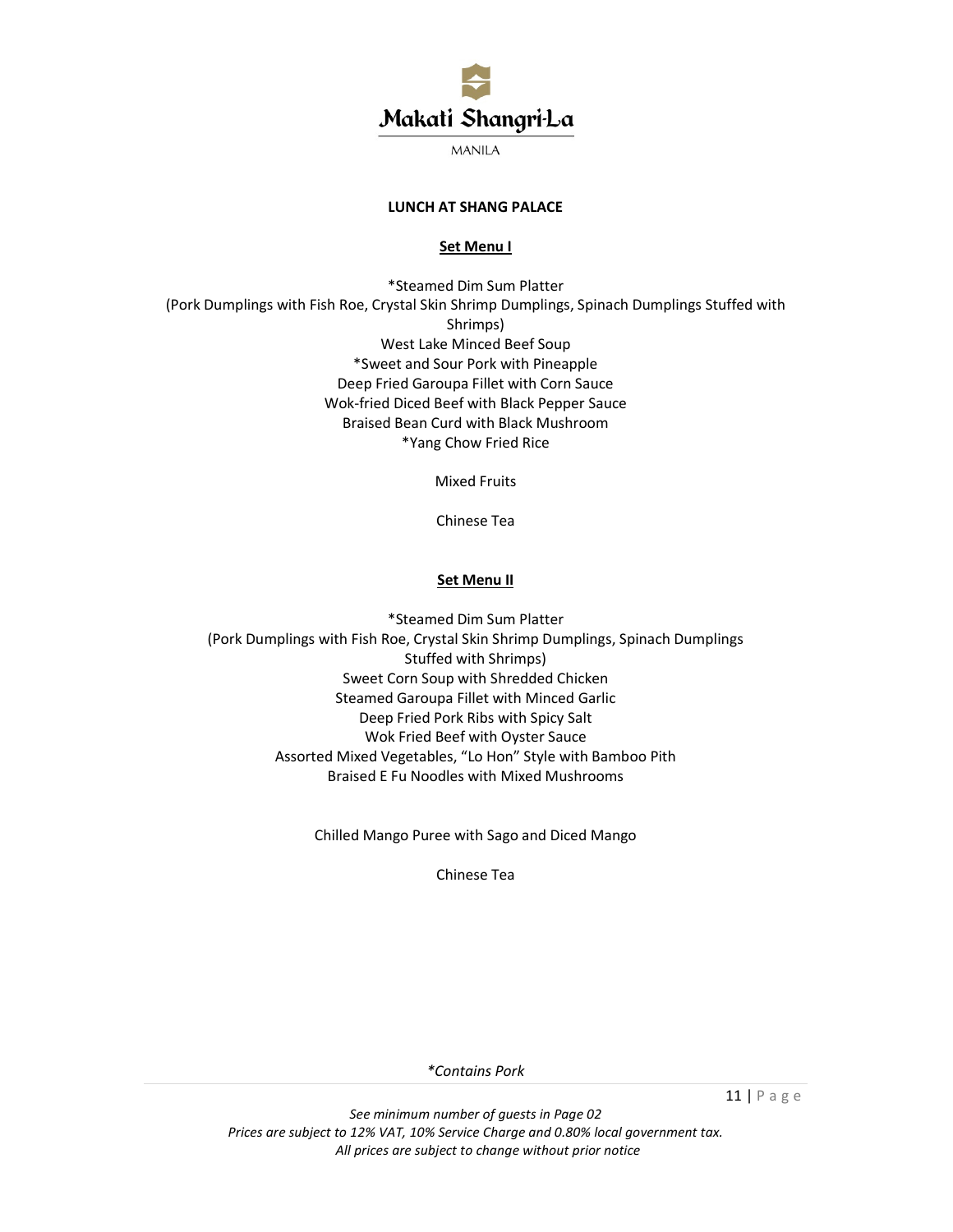

# **LUNCH AT SHANG PALACE**

#### **Set Menu I**

\*Steamed Dim Sum Platter (Pork Dumplings with Fish Roe, Crystal Skin Shrimp Dumplings, Spinach Dumplings Stuffed with Shrimps) West Lake Minced Beef Soup \*Sweet and Sour Pork with Pineapple Deep Fried Garoupa Fillet with Corn Sauce Wok-fried Diced Beef with Black Pepper Sauce Braised Bean Curd with Black Mushroom \*Yang Chow Fried Rice

Mixed Fruits

Chinese Tea

# **Set Menu II**

\*Steamed Dim Sum Platter (Pork Dumplings with Fish Roe, Crystal Skin Shrimp Dumplings, Spinach Dumplings Stuffed with Shrimps) Sweet Corn Soup with Shredded Chicken Steamed Garoupa Fillet with Minced Garlic Deep Fried Pork Ribs with Spicy Salt Wok Fried Beef with Oyster Sauce Assorted Mixed Vegetables, "Lo Hon" Style with Bamboo Pith Braised E Fu Noodles with Mixed Mushrooms

Chilled Mango Puree with Sago and Diced Mango

Chinese Tea

*\*Contains Pork* 

11 | P a g e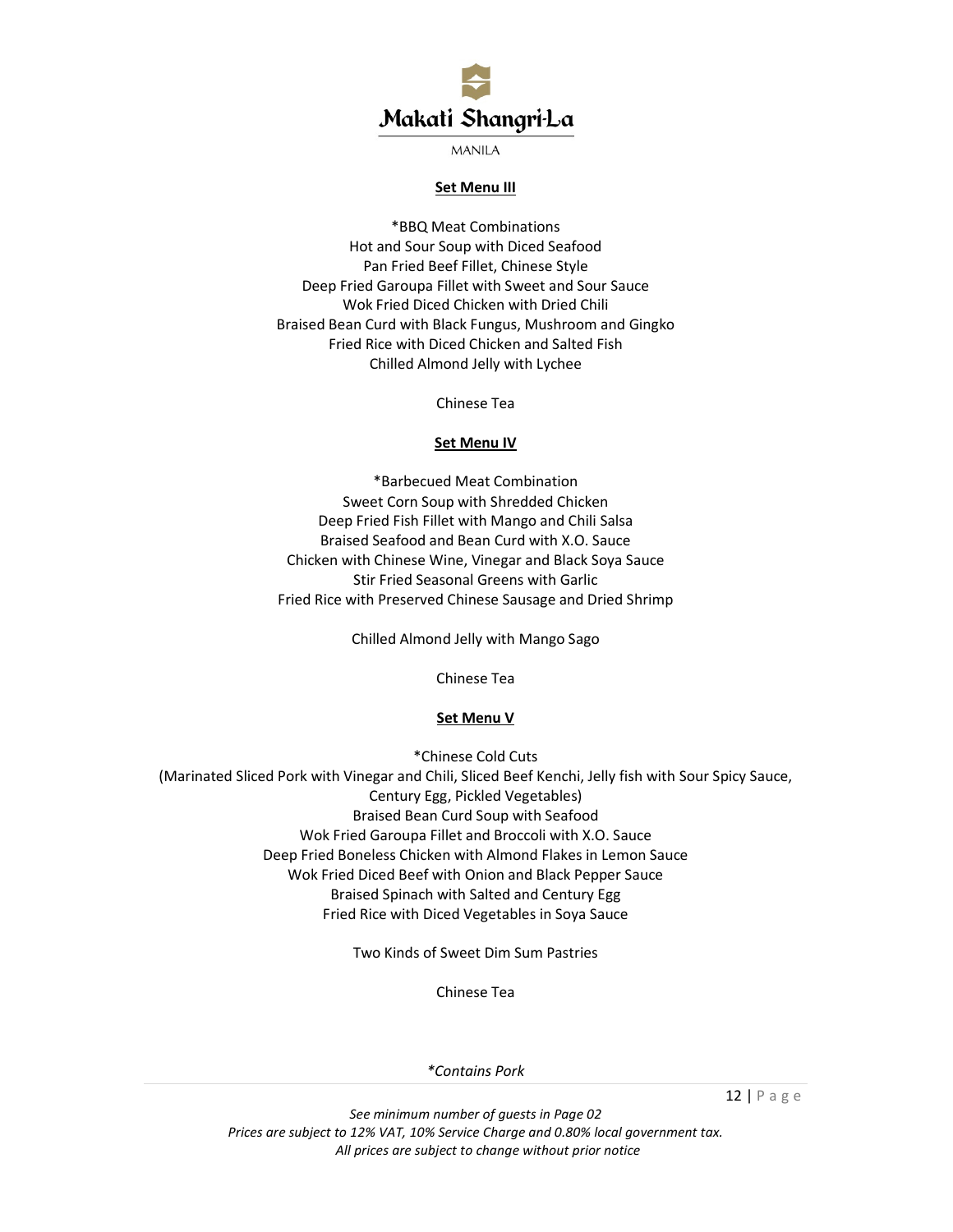

#### **Set Menu III**

\*BBQ Meat Combinations Hot and Sour Soup with Diced Seafood Pan Fried Beef Fillet, Chinese Style Deep Fried Garoupa Fillet with Sweet and Sour Sauce Wok Fried Diced Chicken with Dried Chili Braised Bean Curd with Black Fungus, Mushroom and Gingko Fried Rice with Diced Chicken and Salted Fish Chilled Almond Jelly with Lychee

Chinese Tea

#### **Set Menu IV**

\*Barbecued Meat Combination Sweet Corn Soup with Shredded Chicken Deep Fried Fish Fillet with Mango and Chili Salsa Braised Seafood and Bean Curd with X.O. Sauce Chicken with Chinese Wine, Vinegar and Black Soya Sauce Stir Fried Seasonal Greens with Garlic Fried Rice with Preserved Chinese Sausage and Dried Shrimp

Chilled Almond Jelly with Mango Sago

Chinese Tea

#### **Set Menu V**

\*Chinese Cold Cuts (Marinated Sliced Pork with Vinegar and Chili, Sliced Beef Kenchi, Jelly fish with Sour Spicy Sauce, Century Egg, Pickled Vegetables) Braised Bean Curd Soup with Seafood Wok Fried Garoupa Fillet and Broccoli with X.O. Sauce Deep Fried Boneless Chicken with Almond Flakes in Lemon Sauce Wok Fried Diced Beef with Onion and Black Pepper Sauce Braised Spinach with Salted and Century Egg Fried Rice with Diced Vegetables in Soya Sauce

Two Kinds of Sweet Dim Sum Pastries

Chinese Tea

*\*Contains Pork* 

12 | P a g e